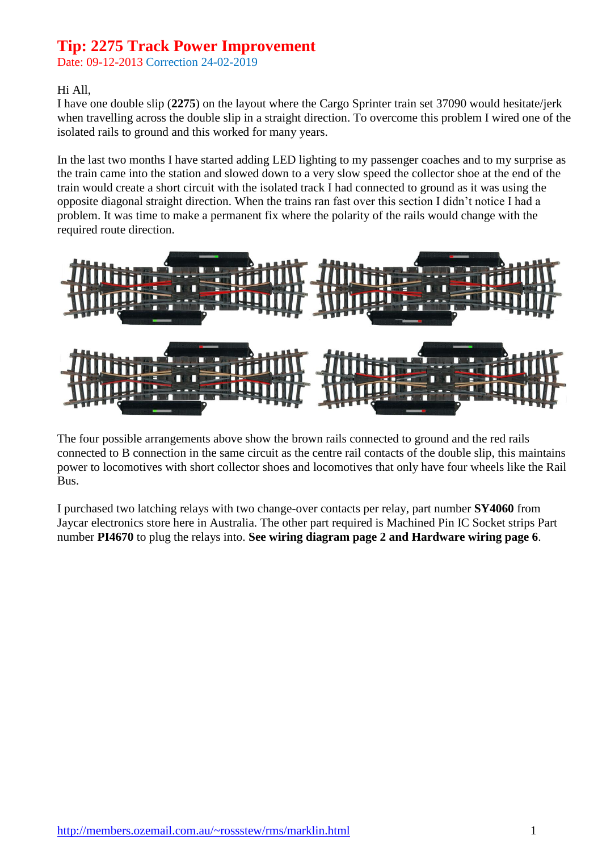Date: 09-12-2013 Correction 24-02-2019

#### Hi All,

I have one double slip (**2275**) on the layout where the Cargo Sprinter train set 37090 would hesitate/jerk when travelling across the double slip in a straight direction. To overcome this problem I wired one of the isolated rails to ground and this worked for many years.

In the last two months I have started adding LED lighting to my passenger coaches and to my surprise as the train came into the station and slowed down to a very slow speed the collector shoe at the end of the train would create a short circuit with the isolated track I had connected to ground as it was using the opposite diagonal straight direction. When the trains ran fast over this section I didn't notice I had a problem. It was time to make a permanent fix where the polarity of the rails would change with the required route direction.



The four possible arrangements above show the brown rails connected to ground and the red rails connected to B connection in the same circuit as the centre rail contacts of the double slip, this maintains power to locomotives with short collector shoes and locomotives that only have four wheels like the Rail Bus.

I purchased two latching relays with two change-over contacts per relay, part number **SY4060** from Jaycar electronics store here in Australia. The other part required is Machined Pin IC Socket strips Part number **PI4670** to plug the relays into. **See wiring diagram page 2 and Hardware wiring page 6**.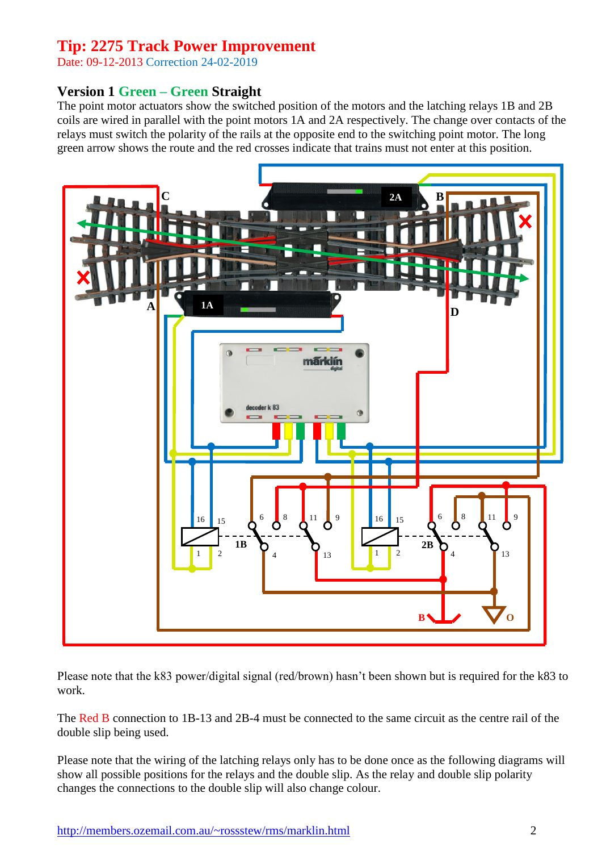Date: 09-12-2013 Correction 24-02-2019

### **Version 1 Green – Green Straight**

The point motor actuators show the switched position of the motors and the latching relays 1B and 2B coils are wired in parallel with the point motors 1A and 2A respectively. The change over contacts of the relays must switch the polarity of the rails at the opposite end to the switching point motor. The long green arrow shows the route and the red crosses indicate that trains must not enter at this position.



Please note that the k83 power/digital signal (red/brown) hasn't been shown but is required for the k83 to work.

The Red B connection to 1B-13 and 2B-4 must be connected to the same circuit as the centre rail of the double slip being used.

Please note that the wiring of the latching relays only has to be done once as the following diagrams will show all possible positions for the relays and the double slip. As the relay and double slip polarity changes the connections to the double slip will also change colour.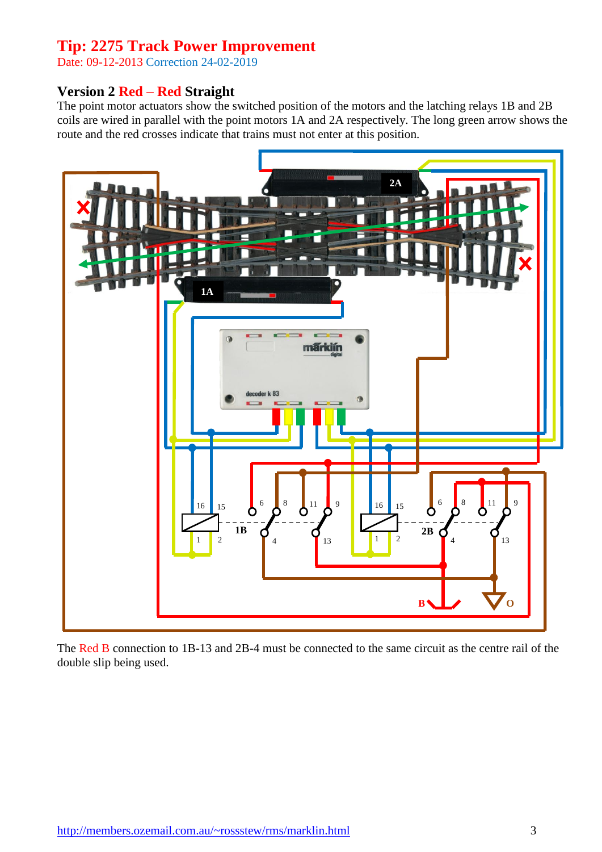Date: 09-12-2013 Correction 24-02-2019

### **Version 2 Red – Red Straight**

The point motor actuators show the switched position of the motors and the latching relays 1B and 2B coils are wired in parallel with the point motors 1A and 2A respectively. The long green arrow shows the route and the red crosses indicate that trains must not enter at this position.



The Red B connection to 1B-13 and 2B-4 must be connected to the same circuit as the centre rail of the double slip being used.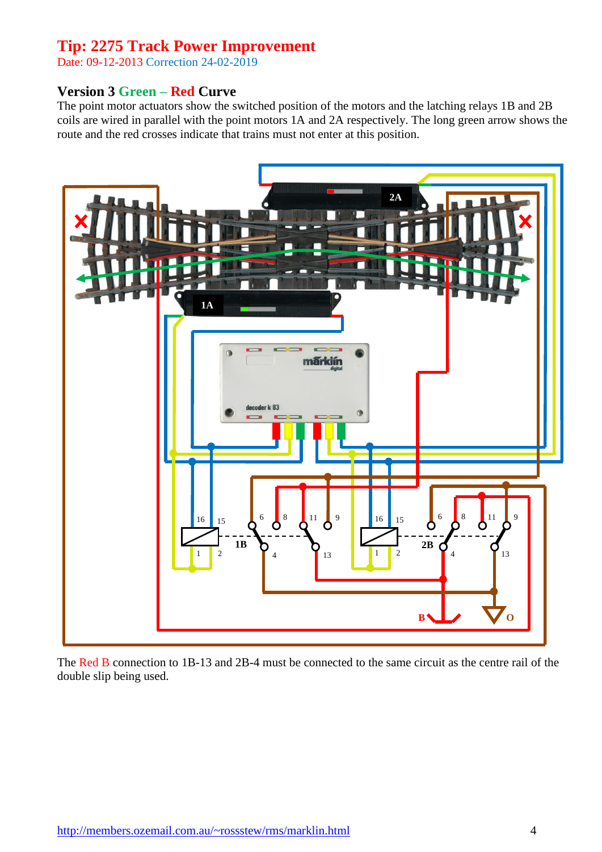Date: 09-12-2013 Correction 24-02-2019

#### **Version 3 Green – Red Curve**

The point motor actuators show the switched position of the motors and the latching relays 1B and 2B coils are wired in parallel with the point motors 1A and 2A respectively. The long green arrow shows the route and the red crosses indicate that trains must not enter at this position.



The Red B connection to 1B-13 and 2B-4 must be connected to the same circuit as the centre rail of the double slip being used.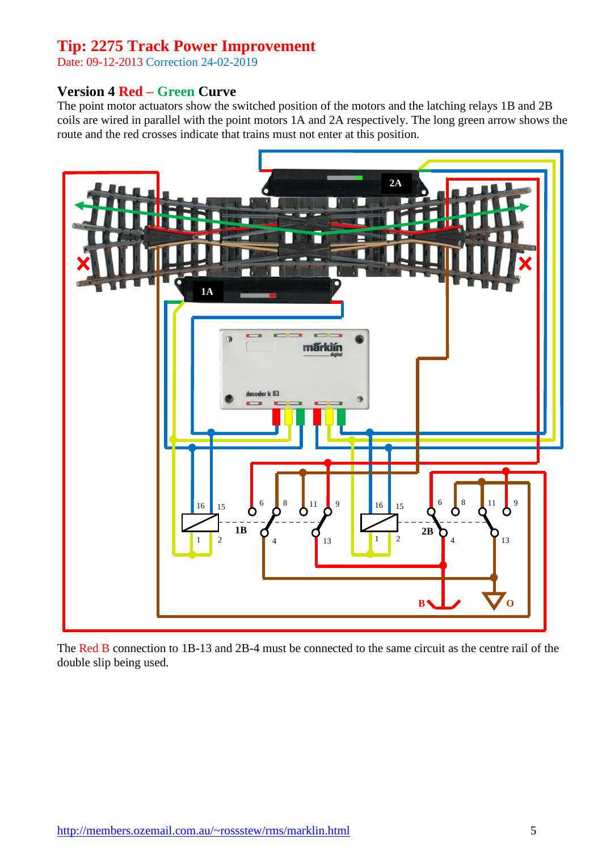Date: 09-12-2013 Correction 24-02-2019

#### **Version 4 Red – Green Curve**

The point motor actuators show the switched position of the motors and the latching relays 1B and 2B coils are wired in parallel with the point motors 1A and 2A respectively. The long green arrow shows the route and the red crosses indicate that trains must not enter at this position.



The Red B connection to 1B-13 and 2B-4 must be connected to the same circuit as the centre rail of the double slip being used.